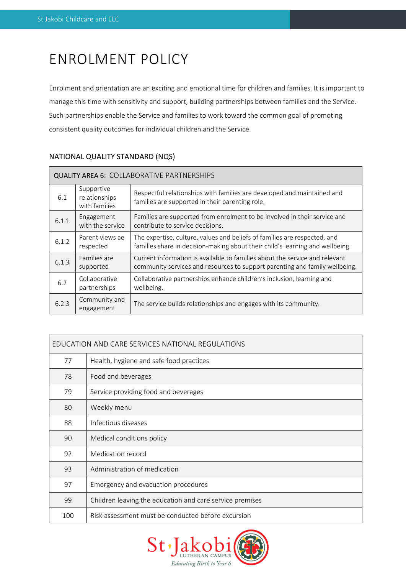# ENROLMENT POLICY

Enrolment and orientation are an exciting and emotional time for children and families. It is important to manage this time with sensitivity and support, building partnerships between families and the Service. Such partnerships enable the Service and families to work toward the common goal of promoting consistent quality outcomes for individual children and the Service.

| <b>QUALITY AREA 6: COLLABORATIVE PARTNERSHIPS</b> |                                              |                                                                                                                                                            |  |  |
|---------------------------------------------------|----------------------------------------------|------------------------------------------------------------------------------------------------------------------------------------------------------------|--|--|
| 6.1                                               | Supportive<br>relationships<br>with families | Respectful relationships with families are developed and maintained and<br>families are supported in their parenting role.                                 |  |  |
| 6.1.1                                             | Engagement<br>with the service               | Families are supported from enrolment to be involved in their service and<br>contribute to service decisions.                                              |  |  |
| 6.1.2                                             | Parent views ae<br>respected                 | The expertise, culture, values and beliefs of families are respected, and<br>families share in decision-making about their child's learning and wellbeing. |  |  |
| 6.1.3                                             | Families are<br>supported                    | Current information is available to families about the service and relevant<br>community services and resources to support parenting and family wellbeing. |  |  |
| 6.2                                               | Collaborative<br>partnerships                | Collaborative partnerships enhance children's inclusion, learning and<br>wellbeing.                                                                        |  |  |
| 6.2.3                                             | Community and<br>engagement                  | The service builds relationships and engages with its community.                                                                                           |  |  |

# NATIONAL QUALITY STANDARD (NQS)

| EDUCATION AND CARE SERVICES NATIONAL REGULATIONS |                                                          |  |
|--------------------------------------------------|----------------------------------------------------------|--|
| 77                                               | Health, hygiene and safe food practices                  |  |
| 78                                               | Food and beverages                                       |  |
| 79                                               | Service providing food and beverages                     |  |
| 80                                               | Weekly menu                                              |  |
| 88                                               | Infectious diseases                                      |  |
| 90                                               | Medical conditions policy                                |  |
| 92                                               | Medication record                                        |  |
| 93                                               | Administration of medication                             |  |
| 97                                               | Emergency and evacuation procedures                      |  |
| 99                                               | Children leaving the education and care service premises |  |
| 100                                              | Risk assessment must be conducted before excursion       |  |

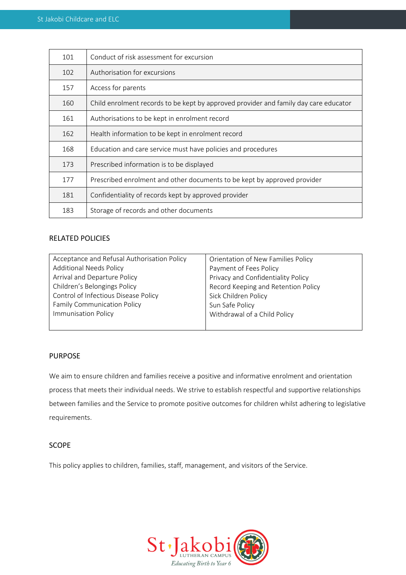| 101 | Conduct of risk assessment for excursion                                             |  |  |
|-----|--------------------------------------------------------------------------------------|--|--|
| 102 | Authorisation for excursions                                                         |  |  |
| 157 | Access for parents                                                                   |  |  |
| 160 | Child enrolment records to be kept by approved provider and family day care educator |  |  |
| 161 | Authorisations to be kept in enrolment record                                        |  |  |
| 162 | Health information to be kept in enrolment record                                    |  |  |
| 168 | Education and care service must have policies and procedures                         |  |  |
| 173 | Prescribed information is to be displayed                                            |  |  |
| 177 | Prescribed enrolment and other documents to be kept by approved provider             |  |  |
| 181 | Confidentiality of records kept by approved provider                                 |  |  |
| 183 | Storage of records and other documents                                               |  |  |

# RELATED POLICIES

| Acceptance and Refusal Authorisation Policy | Orientation of New Families Policy  |  |
|---------------------------------------------|-------------------------------------|--|
| <b>Additional Needs Policy</b>              | Payment of Fees Policy              |  |
| Arrival and Departure Policy                | Privacy and Confidentiality Policy  |  |
| Children's Belongings Policy                | Record Keeping and Retention Policy |  |
| Control of Infectious Disease Policy        | Sick Children Policy                |  |
| <b>Family Communication Policy</b>          | Sun Safe Policy                     |  |
| <b>Immunisation Policy</b>                  | Withdrawal of a Child Policy        |  |
|                                             |                                     |  |

# PURPOSE

We aim to ensure children and families receive a positive and informative enrolment and orientation process that meets their individual needs. We strive to establish respectful and supportive relationships between families and the Service to promote positive outcomes for children whilst adhering to legislative requirements.

# SCOPE

This policy applies to children, families, staff, management, and visitors of the Service.

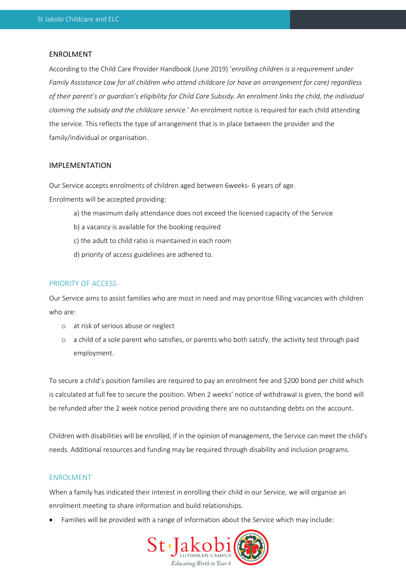#### ENROLMENT

According to the Child Care Provider Handbook (June 2019) '*enrolling children is a requirement under Family Assistance Law for all children who attend childcare (or have an arrangement for care) regardless of their parent's or guardian's eligibility for Child Care Subsidy. An enrolment links the child, the individual claiming the subsidy and the childcare service.*' An enrolment notice is required for each child attending the service. This reflects the type of arrangement that is in place between the provider and the family/individual or organisation.

#### IMPLEMENTATION

Our Service accepts enrolments of children aged between 6weeks- 6 years of age. Enrolments will be accepted providing:

- a) the maximum daily attendance does not exceed the licensed capacity of the Service
- b) a vacancy is available for the booking required
- c) the adult to child ratio is maintained in each room
- d) priority of access guidelines are adhered to.

#### PRIORITY OF ACCESS

Our Service aims to assist families who are most in need and may prioritise filling vacancies with children who are:

- o at risk of serious abuse or neglect
- o a child of a sole parent who satisfies, or parents who both satisfy, the activity test through paid employment.

To secure a child's position families are required to pay an enrolment fee and \$200 bond per child which is calculated at full fee to secure the position. When 2 weeks' notice of withdrawal is given, the bond will be refunded after the 2 week notice period providing there are no outstanding debts on the account.

Children with disabilities will be enrolled, if in the opinion of management, the Service can meet the child's needs. Additional resources and funding may be required through disability and inclusion programs.

## ENROLMENT

When a family has indicated their interest in enrolling their child in our Service, we will organise an enrolment meeting to share information and build relationships.

• Families will be provided with a range of information about the Service which may include:

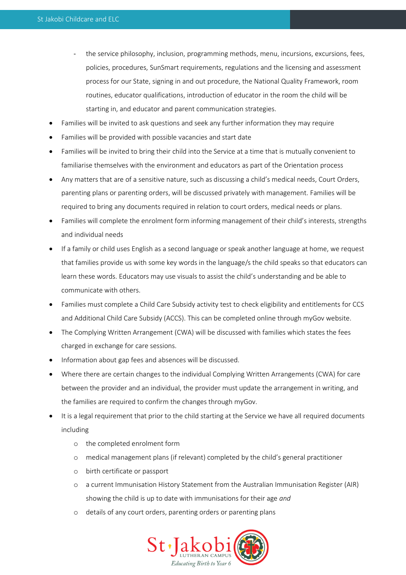- the service philosophy, inclusion, programming methods, menu, incursions, excursions, fees, policies, procedures, SunSmart requirements, regulations and the licensing and assessment process for our State, signing in and out procedure, the National Quality Framework, room routines, educator qualifications, introduction of educator in the room the child will be starting in, and educator and parent communication strategies.
- Families will be invited to ask questions and seek any further information they may require
- Families will be provided with possible vacancies and start date
- Families will be invited to bring their child into the Service at a time that is mutually convenient to familiarise themselves with the environment and educators as part of the Orientation process
- Any matters that are of a sensitive nature, such as discussing a child's medical needs, Court Orders, parenting plans or parenting orders, will be discussed privately with management. Families will be required to bring any documents required in relation to court orders, medical needs or plans.
- Families will complete the enrolment form informing management of their child's interests, strengths and individual needs
- If a family or child uses English as a second language or speak another language at home, we request that families provide us with some key words in the language/s the child speaks so that educators can learn these words. Educators may use visuals to assist the child's understanding and be able to communicate with others.
- Families must complete a Child Care Subsidy activity test to check eligibility and entitlements for CCS and Additional Child Care Subsidy (ACCS). This can be completed online through myGov website.
- The Complying Written Arrangement (CWA) will be discussed with families which states the fees charged in exchange for care sessions.
- Information about gap fees and absences will be discussed.
- Where there are certain changes to the individual Complying Written Arrangements (CWA) for care between the provider and an individual, the provider must update the arrangement in writing, and the families are required to confirm the changes through myGov.
- It is a legal requirement that prior to the child starting at the Service we have all required documents including
	- o the completed enrolment form
	- o medical management plans (if relevant) completed by the child's general practitioner
	- o birth certificate or passport
	- o a current Immunisation History Statement from the Australian Immunisation Register (AIR) showing the child is up to date with immunisations for their age *and*
	- o details of any court orders, parenting orders or parenting plans

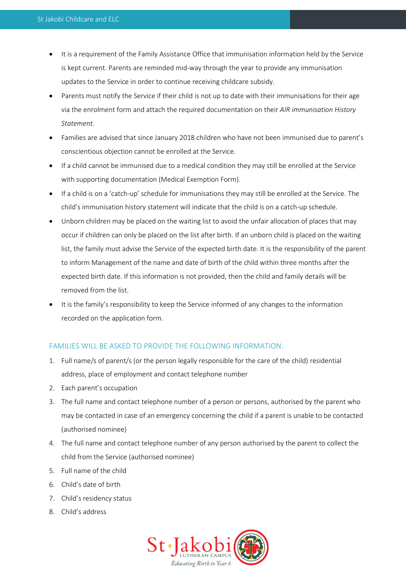- It is a requirement of the Family Assistance Office that immunisation information held by the Service is kept current. Parents are reminded mid-way through the year to provide any immunisation updates to the Service in order to continue receiving childcare subsidy.
- Parents must notify the Service if their child is not up to date with their immunisations for their age via the enrolment form and attach the required documentation on their *AIR immunisation History Statement.*
- Families are advised that since January 2018 children who have not been immunised due to parent's conscientious objection cannot be enrolled at the Service.
- If a child cannot be immunised due to a medical condition they may still be enrolled at the Service with supporting documentation (Medical Exemption Form).
- If a child is on a 'catch-up' schedule for immunisations they may still be enrolled at the Service. The child's immunisation history statement will indicate that the child is on a catch-up schedule.
- Unborn children may be placed on the waiting list to avoid the unfair allocation of places that may occur if children can only be placed on the list after birth. If an unborn child is placed on the waiting list, the family must advise the Service of the expected birth date. It is the responsibility of the parent to inform Management of the name and date of birth of the child within three months after the expected birth date. If this information is not provided, then the child and family details will be removed from the list.
- It is the family's responsibility to keep the Service informed of any changes to the information recorded on the application form.

# FAMILIES WILL BE ASKED TO PROVIDE THE FOLLOWING INFORMATION:

- 1. Full name/s of parent/s (or the person legally responsible for the care of the child) residential address, place of employment and contact telephone number
- 2. Each parent's occupation
- 3. The full name and contact telephone number of a person or persons, authorised by the parent who may be contacted in case of an emergency concerning the child if a parent is unable to be contacted (authorised nominee)
- 4. The full name and contact telephone number of any person authorised by the parent to collect the child from the Service (authorised nominee)
- 5. Full name of the child
- 6. Child's date of birth
- 7. Child's residency status
- 8. Child's address

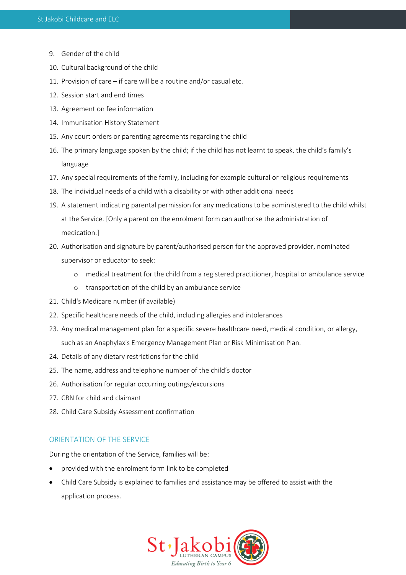- 9. Gender of the child
- 10. Cultural background of the child
- 11. Provision of care if care will be a routine and/or casual etc.
- 12. Session start and end times
- 13. Agreement on fee information
- 14. Immunisation History Statement
- 15. Any court orders or parenting agreements regarding the child
- 16. The primary language spoken by the child; if the child has not learnt to speak, the child's family's language
- 17. Any special requirements of the family, including for example cultural or religious requirements
- 18. The individual needs of a child with a disability or with other additional needs
- 19. A statement indicating parental permission for any medications to be administered to the child whilst at the Service. [Only a parent on the enrolment form can authorise the administration of medication.]
- 20. Authorisation and signature by parent/authorised person for the approved provider, nominated supervisor or educator to seek:
	- o medical treatment for the child from a registered practitioner, hospital or ambulance service
	- o transportation of the child by an ambulance service
- 21. Child's Medicare number (if available)
- 22. Specific healthcare needs of the child, including allergies and intolerances
- 23. Any medical management plan for a specific severe healthcare need, medical condition, or allergy, such as an Anaphylaxis Emergency Management Plan or Risk Minimisation Plan.
- 24. Details of any dietary restrictions for the child
- 25. The name, address and telephone number of the child's doctor
- 26. Authorisation for regular occurring outings/excursions
- 27. CRN for child and claimant
- 28. Child Care Subsidy Assessment confirmation

## ORIENTATION OF THE SERVICE

During the orientation of the Service, families will be:

- provided with the enrolment form link to be completed
- Child Care Subsidy is explained to families and assistance may be offered to assist with the application process.

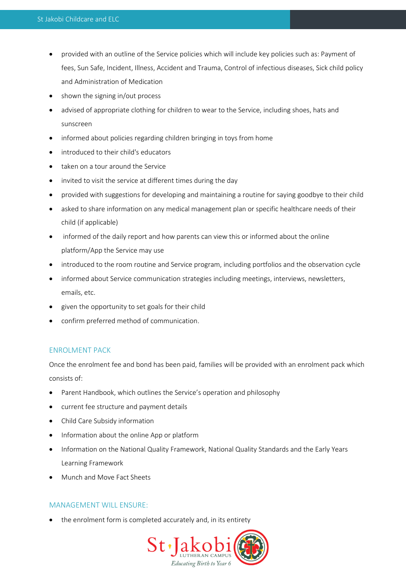- provided with an outline of the Service policies which will include key policies such as: Payment of fees, Sun Safe, Incident, Illness, Accident and Trauma, Control of infectious diseases, Sick child policy and Administration of Medication
- shown the signing in/out process
- advised of appropriate clothing for children to wear to the Service, including shoes, hats and sunscreen
- informed about policies regarding children bringing in toys from home
- introduced to their child's educators
- taken on a tour around the Service
- invited to visit the service at different times during the day
- provided with suggestions for developing and maintaining a routine for saying goodbye to their child
- asked to share information on any medical management plan or specific healthcare needs of their child (if applicable)
- informed of the daily report and how parents can view this or informed about the online platform/App the Service may use
- introduced to the room routine and Service program, including portfolios and the observation cycle
- informed about Service communication strategies including meetings, interviews, newsletters, emails, etc.
- given the opportunity to set goals for their child
- confirm preferred method of communication.

## ENROLMENT PACK

Once the enrolment fee and bond has been paid, families will be provided with an enrolment pack which consists of:

- Parent Handbook, which outlines the Service's operation and philosophy
- current fee structure and payment details
- Child Care Subsidy information
- Information about the online App or platform
- Information on the National Quality Framework, National Quality Standards and the Early Years Learning Framework
- Munch and Move Fact Sheets

# MANAGEMENT WILL ENSURE:

the enrolment form is completed accurately and, in its entirety

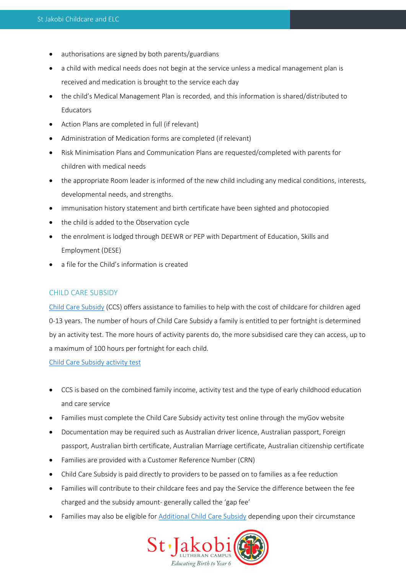- authorisations are signed by both parents/guardians
- a child with medical needs does not begin at the service unless a medical management plan is received and medication is brought to the service each day
- the child's Medical Management Plan is recorded, and this information is shared/distributed to **Educators**
- Action Plans are completed in full (if relevant)
- Administration of Medication forms are completed (if relevant)
- Risk Minimisation Plans and Communication Plans are requested/completed with parents for children with medical needs
- the appropriate Room leader is informed of the new child including any medical conditions, interests, developmental needs, and strengths.
- immunisation history statement and birth certificate have been sighted and photocopied
- the child is added to the Observation cycle
- the enrolment is lodged through DEEWR or PEP with Department of Education, Skills and Employment (DESE)
- a file for the Child's information is created

## CHILD CARE SUBSIDY

[Child Care Subsidy](https://www.servicesaustralia.gov.au/individuals/services/centrelink/child-care-subsidy) (CCS) offers assistance to families to help with the cost of childcare for children aged 0-13 years. The number of hours of Child Care Subsidy a family is entitled to per fortnight is determined by an activity test. The more hours of activity parents do, the more subsidised care they can access, up to a maximum of 100 hours per fortnight for each child.

[Child Care Subsidy activity test](https://docs.education.gov.au/node/50716)

- CCS is based on the combined family income, activity test and the type of early childhood education and care service
- Families must complete the Child Care Subsidy activity test online through the myGov website
- Documentation may be required such as Australian driver licence, Australian passport, Foreign passport, Australian birth certificate, Australian Marriage certificate, Australian citizenship certificate
- Families are provided with a Customer Reference Number (CRN)
- Child Care Subsidy is paid directly to providers to be passed on to families as a fee reduction
- Families will contribute to their childcare fees and pay the Service the difference between the fee charged and the subsidy amount- generally called the 'gap fee'
- Families may also be eligible for **Additional Child Care Subsidy** depending upon their circumstance

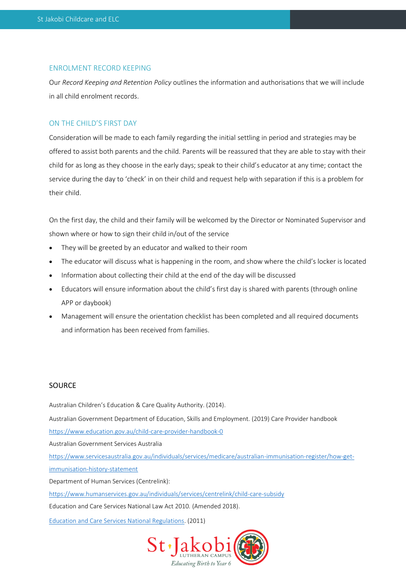#### ENROLMENT RECORD KEEPING

Our *Record Keeping and Retention Policy* outlines the information and authorisations that we will include in all child enrolment records.

## ON THE CHILD'S FIRST DAY

Consideration will be made to each family regarding the initial settling in period and strategies may be offered to assist both parents and the child. Parents will be reassured that they are able to stay with their child for as long as they choose in the early days; speak to their child's educator at any time; contact the service during the day to 'check' in on their child and request help with separation if this is a problem for their child.

On the first day, the child and their family will be welcomed by the Director or Nominated Supervisor and shown where or how to sign their child in/out of the service

- They will be greeted by an educator and walked to their room
- The educator will discuss what is happening in the room, and show where the child's locker is located
- Information about collecting their child at the end of the day will be discussed
- Educators will ensure information about the child's first day is shared with parents (through online APP or daybook)
- Management will ensure the orientation checklist has been completed and all required documents and information has been received from families.

## **SOURCE**

Australian Children's Education & Care Quality Authority. (2014). Australian Government Department of Education, Skills and Employment. (2019) Care Provider handbook <https://www.education.gov.au/child-care-provider-handbook-0> Australian Government Services Australia [https://www.servicesaustralia.gov.au/individuals/services/medicare/australian-immunisation-register/how-get](https://www.servicesaustralia.gov.au/individuals/services/medicare/australian-immunisation-register/how-get-immunisation-history-statement)[immunisation-history-statement](https://www.servicesaustralia.gov.au/individuals/services/medicare/australian-immunisation-register/how-get-immunisation-history-statement) Department of Human Services (Centrelink): <https://www.humanservices.gov.au/individuals/services/centrelink/child-care-subsidy> Education and Care Services National Law Act 2010*.* (Amended 2018). [Education and Care Services National Regulations.](https://www.legislation.nsw.gov.au/view/html/inforce/current/sl-2011-0653?query=((Repealed%3DN+AND+PrintType%3D%22act.reprint%22+AND+PitValid%3D@pointInTime(20200831000000))+OR+(Repealed%3DN+AND+PrintType%3D%22reprint%22+AND+PitValid%3D@pointInTime(20200831000000))+OR+(Repealed%3DN+AND+(PrintType%3D%22epi.reprint%22+OR+PrintType%3D%22epi.electronic%22)+AND+PitValid%3D@pointInTime(20200831000000)))+AND+Content%3D(%22early%22+AND+%22childhood%22)&dQuery=Document+Types%3D%22%3Cspan+class%3D%27dq-highlight%27%3EActs%3C/span%3E,+%3Cspan+class%3D%27dq-highlight%27%3ERegulations%3C/span%3E,+%3Cspan+class%3D%27dq-highlight%27%3EEPIs%3C/span%3E%22,+Search+In%3D%22%3Cspan+class%3D%27dq-highlight%27%3EAll+Content%3C/span%3E%22,+All+Words%3D%22%3Cspan+class%3D%27dq-highlight%27%3Eearly+childhood%3C/span%3E%22,+Point+In+Time%3D%22%3Cspan+class%3D%27dq-highlight%27%3E31/08/2020%3C/span%3E%22) (2011)

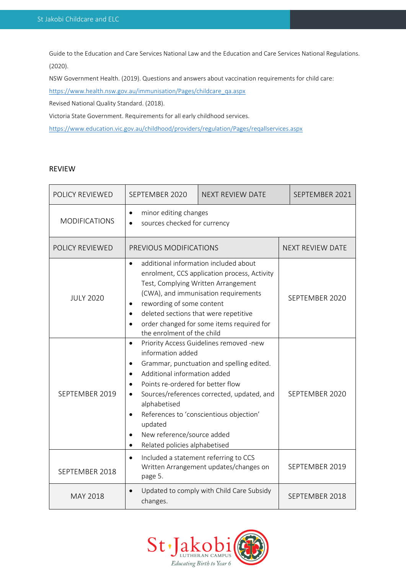Guide to the Education and Care Services National Law and the Education and Care Services National Regulations. (2020).

NSW Government Health. (2019). Questions and answers about vaccination requirements for child care:

[https://www.health.nsw.gov.au/immunisation/Pages/childcare\\_qa.aspx](https://www.health.nsw.gov.au/immunisation/Pages/childcare_qa.aspx)

Revised National Quality Standard. (2018).

Victoria State Government. Requirements for all early childhood services.

<https://www.education.vic.gov.au/childhood/providers/regulation/Pages/reqallservices.aspx>

#### REVIEW

| <b>POLICY REVIEWED</b>                                                         | SEPTEMBER 2020                                                                                                                                                                                                                                                                                                                                               | <b>NEXT REVIEW DATE</b>                                                                                                                                                       |                         | SEPTEMBER 2021 |
|--------------------------------------------------------------------------------|--------------------------------------------------------------------------------------------------------------------------------------------------------------------------------------------------------------------------------------------------------------------------------------------------------------------------------------------------------------|-------------------------------------------------------------------------------------------------------------------------------------------------------------------------------|-------------------------|----------------|
| <b>MODIFICATIONS</b>                                                           | minor editing changes<br>$\bullet$<br>sources checked for currency<br>$\bullet$                                                                                                                                                                                                                                                                              |                                                                                                                                                                               |                         |                |
| POLICY REVIEWED                                                                | PREVIOUS MODIFICATIONS                                                                                                                                                                                                                                                                                                                                       |                                                                                                                                                                               | <b>NEXT REVIEW DATE</b> |                |
| <b>JULY 2020</b>                                                               | additional information included about<br>$\bullet$<br>enrolment, CCS application process, Activity<br>Test, Complying Written Arrangement<br>(CWA), and immunisation requirements<br>rewording of some content<br>$\bullet$<br>deleted sections that were repetitive<br>$\bullet$<br>order changed for some items required for<br>the enrolment of the child |                                                                                                                                                                               |                         | SEPTEMBER 2020 |
| SEPTEMBER 2019                                                                 | $\bullet$<br>information added<br>$\bullet$<br>Additional information added<br>$\bullet$<br>Points re-ordered for better flow<br>$\bullet$<br>alphabetised<br>$\bullet$<br>updated<br>New reference/source added<br>$\bullet$<br>Related policies alphabetised<br>$\bullet$                                                                                  | Priority Access Guidelines removed -new<br>Grammar, punctuation and spelling edited.<br>Sources/references corrected, updated, and<br>References to 'conscientious objection' |                         | SEPTEMBER 2020 |
| SEPTEMBER 2018                                                                 | Included a statement referring to CCS<br>$\bullet$<br>page 5.                                                                                                                                                                                                                                                                                                | Written Arrangement updates/changes on                                                                                                                                        |                         | SEPTEMBER 2019 |
| Updated to comply with Child Care Subsidy<br>$\bullet$<br>MAY 2018<br>changes. |                                                                                                                                                                                                                                                                                                                                                              |                                                                                                                                                                               |                         | SEPTEMBER 2018 |